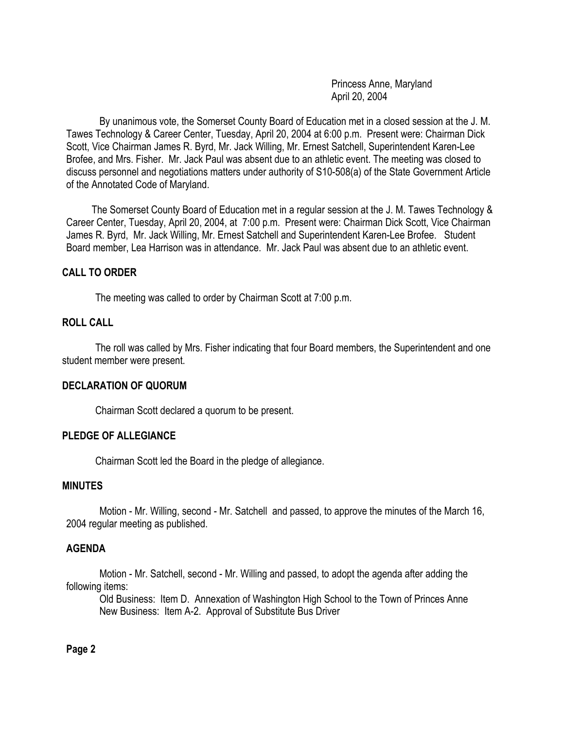Princess Anne, Maryland April 20, 2004

By unanimous vote, the Somerset County Board of Education met in a closed session at the J. M. Tawes Technology & Career Center, Tuesday, April 20, 2004 at 6:00 p.m. Present were: Chairman Dick Scott, Vice Chairman James R. Byrd, Mr. Jack Willing, Mr. Ernest Satchell, Superintendent Karen-Lee Brofee, and Mrs. Fisher. Mr. Jack Paul was absent due to an athletic event. The meeting was closed to discuss personnel and negotiations matters under authority of S10-508(a) of the State Government Article of the Annotated Code of Maryland.

 The Somerset County Board of Education met in a regular session at the J. M. Tawes Technology & Career Center, Tuesday, April 20, 2004, at 7:00 p.m. Present were: Chairman Dick Scott, Vice Chairman James R. Byrd, Mr. Jack Willing, Mr. Ernest Satchell and Superintendent Karen-Lee Brofee. Student Board member, Lea Harrison was in attendance. Mr. Jack Paul was absent due to an athletic event.

#### **CALL TO ORDER**

The meeting was called to order by Chairman Scott at 7:00 p.m.

#### **ROLL CALL**

The roll was called by Mrs. Fisher indicating that four Board members, the Superintendent and one student member were present.

#### **DECLARATION OF QUORUM**

Chairman Scott declared a quorum to be present.

#### **PLEDGE OF ALLEGIANCE**

Chairman Scott led the Board in the pledge of allegiance.

#### **MINUTES**

Motion - Mr. Willing, second - Mr. Satchell and passed, to approve the minutes of the March 16, 2004 regular meeting as published.

#### **AGENDA**

Motion - Mr. Satchell, second - Mr. Willing and passed, to adopt the agenda after adding the following items:

Old Business: Item D. Annexation of Washington High School to the Town of Princes Anne New Business: Item A-2. Approval of Substitute Bus Driver

#### **Page 2**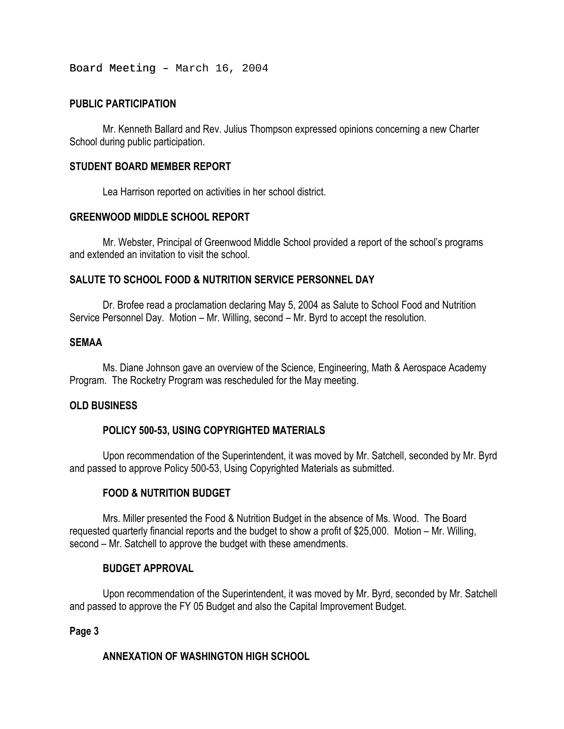Board Meeting - March 16, 2004

### **PUBLIC PARTICIPATION**

Mr. Kenneth Ballard and Rev. Julius Thompson expressed opinions concerning a new Charter School during public participation.

### **STUDENT BOARD MEMBER REPORT**

Lea Harrison reported on activities in her school district.

#### **GREENWOOD MIDDLE SCHOOL REPORT**

Mr. Webster, Principal of Greenwood Middle School provided a report of the school's programs and extended an invitation to visit the school.

## **SALUTE TO SCHOOL FOOD & NUTRITION SERVICE PERSONNEL DAY**

Dr. Brofee read a proclamation declaring May 5, 2004 as Salute to School Food and Nutrition Service Personnel Day. Motion – Mr. Willing, second – Mr. Byrd to accept the resolution.

#### **SEMAA**

Ms. Diane Johnson gave an overview of the Science, Engineering, Math & Aerospace Academy Program. The Rocketry Program was rescheduled for the May meeting.

#### **OLD BUSINESS**

# **POLICY 500-53, USING COPYRIGHTED MATERIALS**

Upon recommendation of the Superintendent, it was moved by Mr. Satchell, seconded by Mr. Byrd and passed to approve Policy 500-53, Using Copyrighted Materials as submitted.

# **FOOD & NUTRITION BUDGET**

Mrs. Miller presented the Food & Nutrition Budget in the absence of Ms. Wood. The Board requested quarterly financial reports and the budget to show a profit of \$25,000. Motion – Mr. Willing, second – Mr. Satchell to approve the budget with these amendments.

#### **BUDGET APPROVAL**

Upon recommendation of the Superintendent, it was moved by Mr. Byrd, seconded by Mr. Satchell and passed to approve the FY 05 Budget and also the Capital Improvement Budget.

#### **Page 3**

# **ANNEXATION OF WASHINGTON HIGH SCHOOL**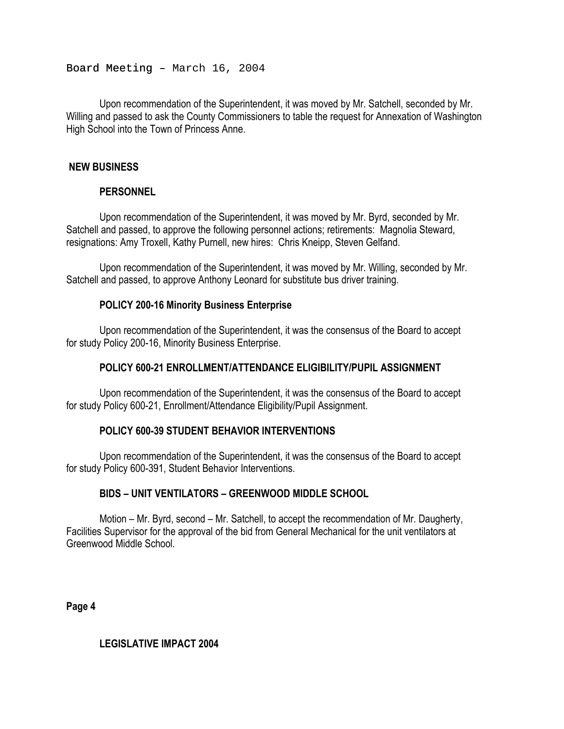Board Meeting - March 16, 2004

Upon recommendation of the Superintendent, it was moved by Mr. Satchell, seconded by Mr. Willing and passed to ask the County Commissioners to table the request for Annexation of Washington High School into the Town of Princess Anne.

## **NEW BUSINESS**

## **PERSONNEL**

Upon recommendation of the Superintendent, it was moved by Mr. Byrd, seconded by Mr. Satchell and passed, to approve the following personnel actions; retirements: Magnolia Steward, resignations: Amy Troxell, Kathy Purnell, new hires: Chris Kneipp, Steven Gelfand.

Upon recommendation of the Superintendent, it was moved by Mr. Willing, seconded by Mr. Satchell and passed, to approve Anthony Leonard for substitute bus driver training.

## **POLICY 200-16 Minority Business Enterprise**

Upon recommendation of the Superintendent, it was the consensus of the Board to accept for study Policy 200-16, Minority Business Enterprise.

### **POLICY 600-21 ENROLLMENT/ATTENDANCE ELIGIBILITY/PUPIL ASSIGNMENT**

Upon recommendation of the Superintendent, it was the consensus of the Board to accept for study Policy 600-21, Enrollment/Attendance Eligibility/Pupil Assignment.

# **POLICY 600-39 STUDENT BEHAVIOR INTERVENTIONS**

Upon recommendation of the Superintendent, it was the consensus of the Board to accept for study Policy 600-391, Student Behavior Interventions.

# **BIDS – UNIT VENTILATORS – GREENWOOD MIDDLE SCHOOL**

Motion – Mr. Byrd, second – Mr. Satchell, to accept the recommendation of Mr. Daugherty, Facilities Supervisor for the approval of the bid from General Mechanical for the unit ventilators at Greenwood Middle School.

**Page 4**

**LEGISLATIVE IMPACT 2004**